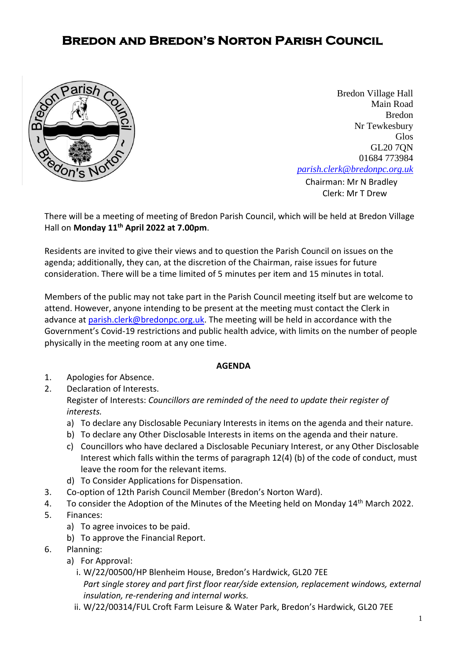## **Bredon and Bredon's Norton Parish Council**



**[Chairman:](mailto:parish.clerk@bredonpc.org.uk.com) Mr N Bradley** Bredon Village Hall Main Road Bredon Nr Tewkesbury Glos GL20 7QN 01684 773984 *[parish.clerk@bredonpc.org.uk](mailto:parish.clerk@bredonpc.org.uk.com)*

Clerk: Mr T Drew

There will be a meeting of meeting of Bredon Parish Council, which will be held at Bredon Village Hall on **Monday 11th April 2022 at 7.00pm**.

Residents are invited to give their views and to question the Parish Council on issues on the agenda; additionally, they can, at the discretion of the Chairman, raise issues for future consideration. There will be a time limited of 5 minutes per item and 15 minutes in total.

Members of the public may not take part in the Parish Council meeting itself but are welcome to attend. However, anyone intending to be present at the meeting must contact the Clerk in advance at [parish.clerk@bredonpc.org.uk.](mailto:parish.clerk@bredonpc.org.uk) The meeting will be held in accordance with the Government's Covid-19 restrictions and public health advice, with limits on the number of people physically in the meeting room at any one time.

## **AGENDA**

- 1. Apologies for Absence.
- 2. Declaration of Interests. Register of Interests: *Councillors are reminded of the need to update their register of interests.* 
	- a) To declare any Disclosable Pecuniary Interests in items on the agenda and their nature.
	- b) To declare any Other Disclosable Interests in items on the agenda and their nature.
	- c) Councillors who have declared a Disclosable Pecuniary Interest, or any Other Disclosable Interest which falls within the terms of paragraph 12(4) (b) of the code of conduct, must leave the room for the relevant items.
	- d) To Consider Applications for Dispensation.
- 3. Co-option of 12th Parish Council Member (Bredon's Norton Ward).
- 4. To consider the Adoption of the Minutes of the Meeting held on Monday 14<sup>th</sup> March 2022.
- 5. Finances:
	- a) To agree invoices to be paid.
	- b) To approve the Financial Report.
- 6. Planning:
	- a) For Approval:
		- i. W/22/00500/HP Blenheim House, Bredon's Hardwick, GL20 7EE *Part single storey and part first floor rear/side extension, replacement windows, external insulation, re-rendering and internal works.*
		- ii. W/22/00314/FUL Croft Farm Leisure & Water Park, Bredon's Hardwick, GL20 7EE